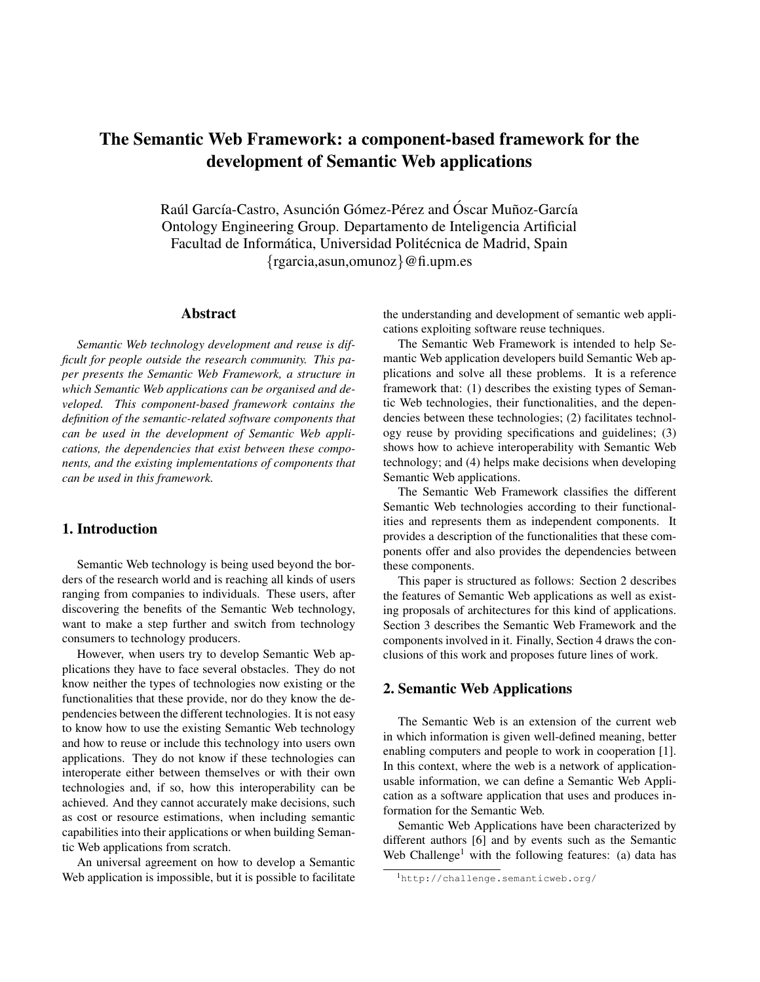# The Semantic Web Framework: a component-based framework for the development of Semantic Web applications

Raúl García-Castro, Asunción Gómez-Pérez and Óscar Muñoz-García Ontology Engineering Group. Departamento de Inteligencia Artificial Facultad de Informática, Universidad Politécnica de Madrid, Spain {rgarcia,asun,omunoz}@fi.upm.es

# Abstract

*Semantic Web technology development and reuse is difficult for people outside the research community. This paper presents the Semantic Web Framework, a structure in which Semantic Web applications can be organised and developed. This component-based framework contains the definition of the semantic-related software components that can be used in the development of Semantic Web applications, the dependencies that exist between these components, and the existing implementations of components that can be used in this framework.*

# 1. Introduction

Semantic Web technology is being used beyond the borders of the research world and is reaching all kinds of users ranging from companies to individuals. These users, after discovering the benefits of the Semantic Web technology, want to make a step further and switch from technology consumers to technology producers.

However, when users try to develop Semantic Web applications they have to face several obstacles. They do not know neither the types of technologies now existing or the functionalities that these provide, nor do they know the dependencies between the different technologies. It is not easy to know how to use the existing Semantic Web technology and how to reuse or include this technology into users own applications. They do not know if these technologies can interoperate either between themselves or with their own technologies and, if so, how this interoperability can be achieved. And they cannot accurately make decisions, such as cost or resource estimations, when including semantic capabilities into their applications or when building Semantic Web applications from scratch.

An universal agreement on how to develop a Semantic Web application is impossible, but it is possible to facilitate the understanding and development of semantic web applications exploiting software reuse techniques.

The Semantic Web Framework is intended to help Semantic Web application developers build Semantic Web applications and solve all these problems. It is a reference framework that: (1) describes the existing types of Semantic Web technologies, their functionalities, and the dependencies between these technologies; (2) facilitates technology reuse by providing specifications and guidelines; (3) shows how to achieve interoperability with Semantic Web technology; and (4) helps make decisions when developing Semantic Web applications.

The Semantic Web Framework classifies the different Semantic Web technologies according to their functionalities and represents them as independent components. It provides a description of the functionalities that these components offer and also provides the dependencies between these components.

This paper is structured as follows: Section 2 describes the features of Semantic Web applications as well as existing proposals of architectures for this kind of applications. Section 3 describes the Semantic Web Framework and the components involved in it. Finally, Section 4 draws the conclusions of this work and proposes future lines of work.

## 2. Semantic Web Applications

The Semantic Web is an extension of the current web in which information is given well-defined meaning, better enabling computers and people to work in cooperation [1]. In this context, where the web is a network of applicationusable information, we can define a Semantic Web Application as a software application that uses and produces information for the Semantic Web.

Semantic Web Applications have been characterized by different authors [6] and by events such as the Semantic Web Challenge<sup>1</sup> with the following features: (a) data has

<sup>1</sup>http://challenge.semanticweb.org/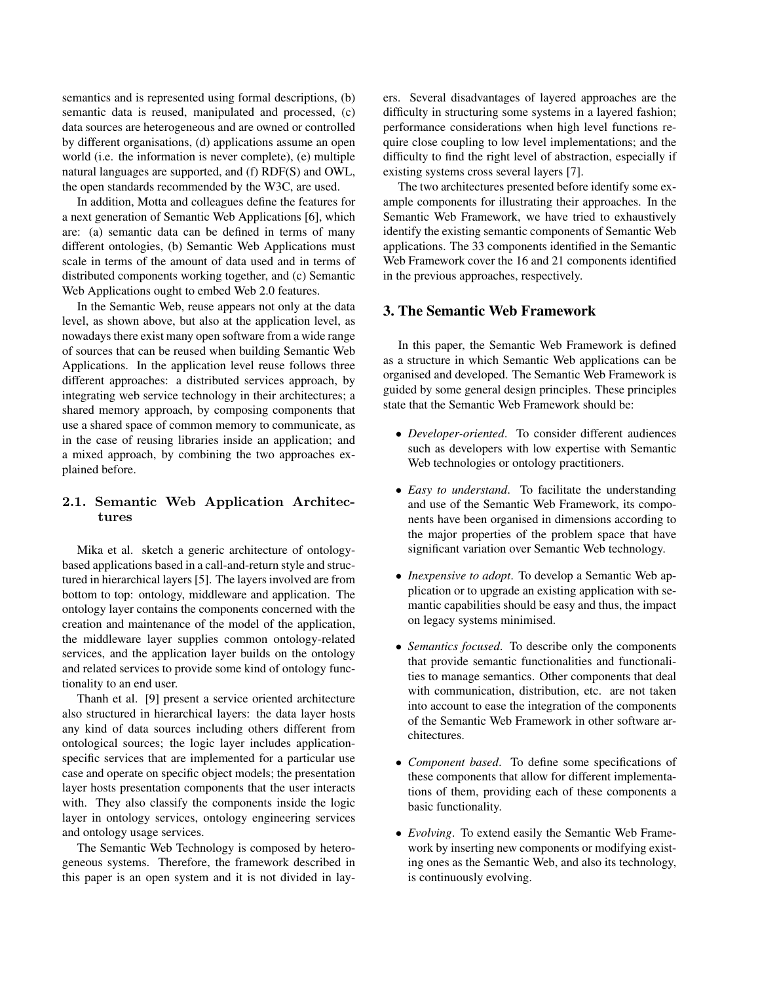semantics and is represented using formal descriptions, (b) semantic data is reused, manipulated and processed, (c) data sources are heterogeneous and are owned or controlled by different organisations, (d) applications assume an open world (i.e. the information is never complete), (e) multiple natural languages are supported, and (f) RDF(S) and OWL, the open standards recommended by the W3C, are used.

In addition, Motta and colleagues define the features for a next generation of Semantic Web Applications [6], which are: (a) semantic data can be defined in terms of many different ontologies, (b) Semantic Web Applications must scale in terms of the amount of data used and in terms of distributed components working together, and (c) Semantic Web Applications ought to embed Web 2.0 features.

In the Semantic Web, reuse appears not only at the data level, as shown above, but also at the application level, as nowadays there exist many open software from a wide range of sources that can be reused when building Semantic Web Applications. In the application level reuse follows three different approaches: a distributed services approach, by integrating web service technology in their architectures; a shared memory approach, by composing components that use a shared space of common memory to communicate, as in the case of reusing libraries inside an application; and a mixed approach, by combining the two approaches explained before.

# 2.1. Semantic Web Application Architectures

Mika et al. sketch a generic architecture of ontologybased applications based in a call-and-return style and structured in hierarchical layers [5]. The layers involved are from bottom to top: ontology, middleware and application. The ontology layer contains the components concerned with the creation and maintenance of the model of the application, the middleware layer supplies common ontology-related services, and the application layer builds on the ontology and related services to provide some kind of ontology functionality to an end user.

Thanh et al. [9] present a service oriented architecture also structured in hierarchical layers: the data layer hosts any kind of data sources including others different from ontological sources; the logic layer includes applicationspecific services that are implemented for a particular use case and operate on specific object models; the presentation layer hosts presentation components that the user interacts with. They also classify the components inside the logic layer in ontology services, ontology engineering services and ontology usage services.

The Semantic Web Technology is composed by heterogeneous systems. Therefore, the framework described in this paper is an open system and it is not divided in layers. Several disadvantages of layered approaches are the difficulty in structuring some systems in a layered fashion; performance considerations when high level functions require close coupling to low level implementations; and the difficulty to find the right level of abstraction, especially if existing systems cross several layers [7].

The two architectures presented before identify some example components for illustrating their approaches. In the Semantic Web Framework, we have tried to exhaustively identify the existing semantic components of Semantic Web applications. The 33 components identified in the Semantic Web Framework cover the 16 and 21 components identified in the previous approaches, respectively.

## 3. The Semantic Web Framework

In this paper, the Semantic Web Framework is defined as a structure in which Semantic Web applications can be organised and developed. The Semantic Web Framework is guided by some general design principles. These principles state that the Semantic Web Framework should be:

- *Developer-oriented*. To consider different audiences such as developers with low expertise with Semantic Web technologies or ontology practitioners.
- *Easy to understand*. To facilitate the understanding and use of the Semantic Web Framework, its components have been organised in dimensions according to the major properties of the problem space that have significant variation over Semantic Web technology.
- *Inexpensive to adopt*. To develop a Semantic Web application or to upgrade an existing application with semantic capabilities should be easy and thus, the impact on legacy systems minimised.
- *Semantics focused*. To describe only the components that provide semantic functionalities and functionalities to manage semantics. Other components that deal with communication, distribution, etc. are not taken into account to ease the integration of the components of the Semantic Web Framework in other software architectures.
- *Component based*. To define some specifications of these components that allow for different implementations of them, providing each of these components a basic functionality.
- *Evolving*. To extend easily the Semantic Web Framework by inserting new components or modifying existing ones as the Semantic Web, and also its technology, is continuously evolving.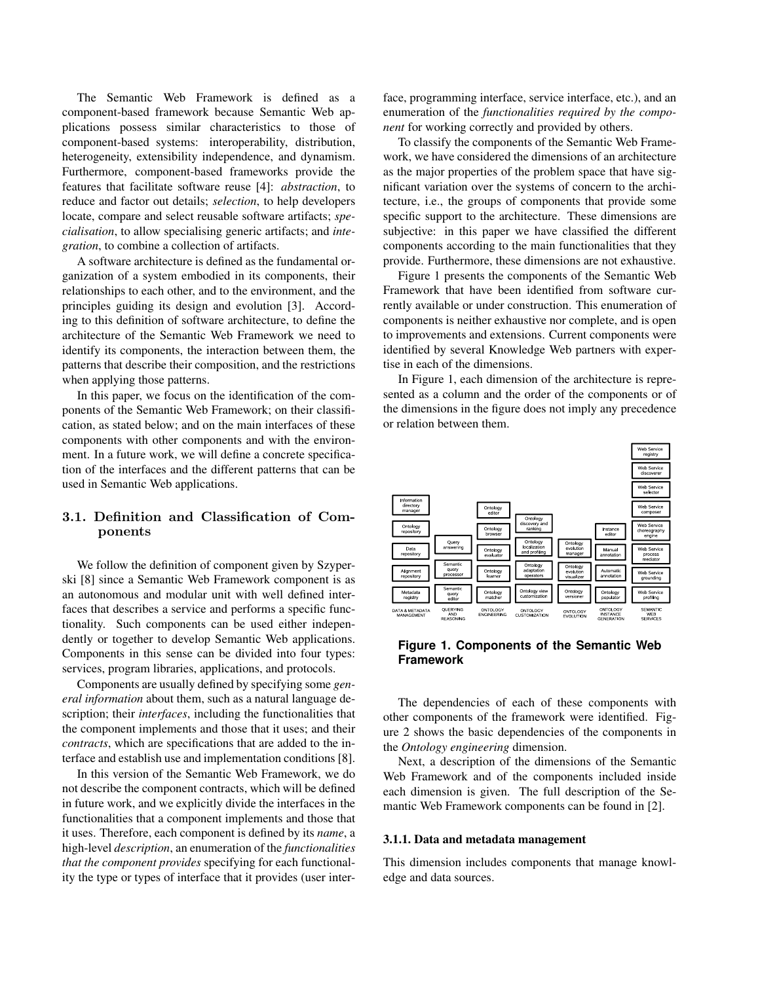The Semantic Web Framework is defined as a component-based framework because Semantic Web applications possess similar characteristics to those of component-based systems: interoperability, distribution, heterogeneity, extensibility independence, and dynamism. Furthermore, component-based frameworks provide the features that facilitate software reuse [4]: *abstraction*, to reduce and factor out details; *selection*, to help developers locate, compare and select reusable software artifacts; *specialisation*, to allow specialising generic artifacts; and *integration*, to combine a collection of artifacts.

A software architecture is defined as the fundamental organization of a system embodied in its components, their relationships to each other, and to the environment, and the principles guiding its design and evolution [3]. According to this definition of software architecture, to define the architecture of the Semantic Web Framework we need to identify its components, the interaction between them, the patterns that describe their composition, and the restrictions when applying those patterns.

In this paper, we focus on the identification of the components of the Semantic Web Framework; on their classification, as stated below; and on the main interfaces of these components with other components and with the environment. In a future work, we will define a concrete specification of the interfaces and the different patterns that can be used in Semantic Web applications.

# 3.1. Definition and Classification of Components

We follow the definition of component given by Szyperski [8] since a Semantic Web Framework component is as an autonomous and modular unit with well defined interfaces that describes a service and performs a specific functionality. Such components can be used either independently or together to develop Semantic Web applications. Components in this sense can be divided into four types: services, program libraries, applications, and protocols.

Components are usually defined by specifying some *general information* about them, such as a natural language description; their *interfaces*, including the functionalities that the component implements and those that it uses; and their *contracts*, which are specifications that are added to the interface and establish use and implementation conditions [8].

In this version of the Semantic Web Framework, we do not describe the component contracts, which will be defined in future work, and we explicitly divide the interfaces in the functionalities that a component implements and those that it uses. Therefore, each component is defined by its *name*, a high-level *description*, an enumeration of the *functionalities that the component provides* specifying for each functionality the type or types of interface that it provides (user interface, programming interface, service interface, etc.), and an enumeration of the *functionalities required by the component* for working correctly and provided by others.

To classify the components of the Semantic Web Framework, we have considered the dimensions of an architecture as the major properties of the problem space that have significant variation over the systems of concern to the architecture, i.e., the groups of components that provide some specific support to the architecture. These dimensions are subjective: in this paper we have classified the different components according to the main functionalities that they provide. Furthermore, these dimensions are not exhaustive.

Figure 1 presents the components of the Semantic Web Framework that have been identified from software currently available or under construction. This enumeration of components is neither exhaustive nor complete, and is open to improvements and extensions. Current components were identified by several Knowledge Web partners with expertise in each of the dimensions.

In Figure 1, each dimension of the architecture is represented as a column and the order of the components or of the dimensions in the figure does not imply any precedence or relation between them.



**Figure 1. Components of the Semantic Web Framework**

The dependencies of each of these components with other components of the framework were identified. Figure 2 shows the basic dependencies of the components in the *Ontology engineering* dimension.

Next, a description of the dimensions of the Semantic Web Framework and of the components included inside each dimension is given. The full description of the Semantic Web Framework components can be found in [2].

#### 3.1.1. Data and metadata management

This dimension includes components that manage knowledge and data sources.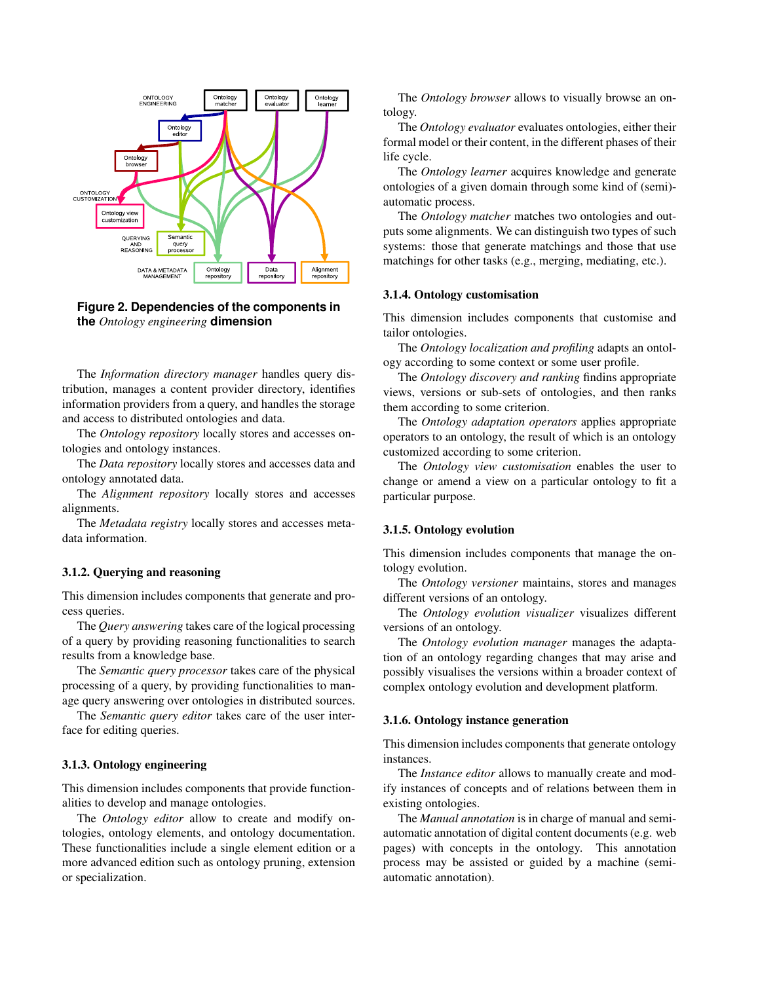

# **Figure 2. Dependencies of the components in the** *Ontology engineering* **dimension**

The *Information directory manager* handles query distribution, manages a content provider directory, identifies information providers from a query, and handles the storage and access to distributed ontologies and data.

The *Ontology repository* locally stores and accesses ontologies and ontology instances.

The *Data repository* locally stores and accesses data and ontology annotated data.

The *Alignment repository* locally stores and accesses alignments.

The *Metadata registry* locally stores and accesses metadata information.

## 3.1.2. Querying and reasoning

This dimension includes components that generate and process queries.

The *Query answering* takes care of the logical processing of a query by providing reasoning functionalities to search results from a knowledge base.

The *Semantic query processor* takes care of the physical processing of a query, by providing functionalities to manage query answering over ontologies in distributed sources.

The *Semantic query editor* takes care of the user interface for editing queries.

#### 3.1.3. Ontology engineering

This dimension includes components that provide functionalities to develop and manage ontologies.

The *Ontology editor* allow to create and modify ontologies, ontology elements, and ontology documentation. These functionalities include a single element edition or a more advanced edition such as ontology pruning, extension or specialization.

The *Ontology browser* allows to visually browse an ontology.

The *Ontology evaluator* evaluates ontologies, either their formal model or their content, in the different phases of their life cycle.

The *Ontology learner* acquires knowledge and generate ontologies of a given domain through some kind of (semi) automatic process.

The *Ontology matcher* matches two ontologies and outputs some alignments. We can distinguish two types of such systems: those that generate matchings and those that use matchings for other tasks (e.g., merging, mediating, etc.).

#### 3.1.4. Ontology customisation

This dimension includes components that customise and tailor ontologies.

The *Ontology localization and profiling* adapts an ontology according to some context or some user profile.

The *Ontology discovery and ranking* findins appropriate views, versions or sub-sets of ontologies, and then ranks them according to some criterion.

The *Ontology adaptation operators* applies appropriate operators to an ontology, the result of which is an ontology customized according to some criterion.

The *Ontology view customisation* enables the user to change or amend a view on a particular ontology to fit a particular purpose.

#### 3.1.5. Ontology evolution

This dimension includes components that manage the ontology evolution.

The *Ontology versioner* maintains, stores and manages different versions of an ontology.

The *Ontology evolution visualizer* visualizes different versions of an ontology.

The *Ontology evolution manager* manages the adaptation of an ontology regarding changes that may arise and possibly visualises the versions within a broader context of complex ontology evolution and development platform.

#### 3.1.6. Ontology instance generation

This dimension includes components that generate ontology instances.

The *Instance editor* allows to manually create and modify instances of concepts and of relations between them in existing ontologies.

The *Manual annotation* is in charge of manual and semiautomatic annotation of digital content documents (e.g. web pages) with concepts in the ontology. This annotation process may be assisted or guided by a machine (semiautomatic annotation).